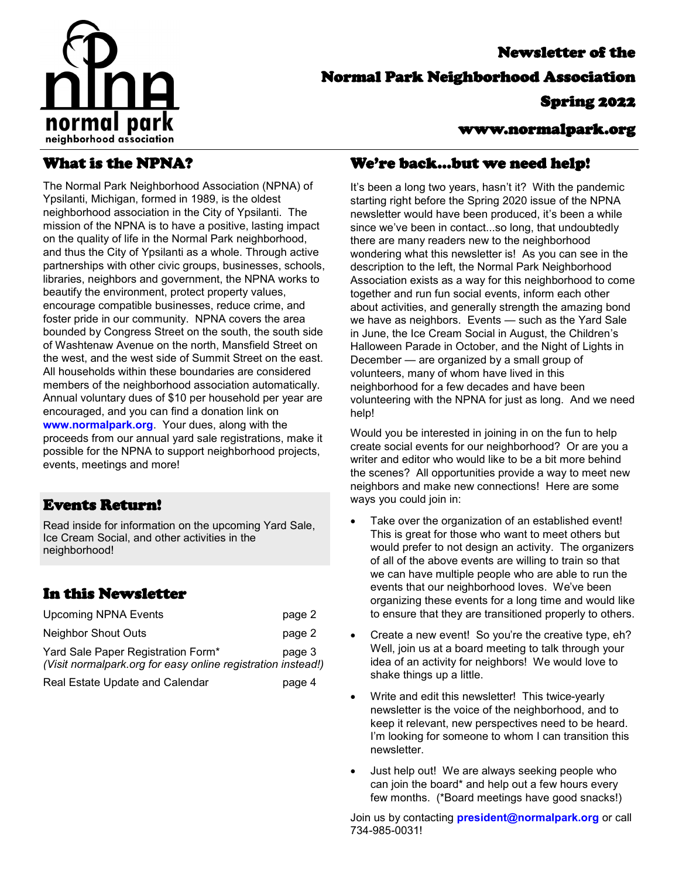

# Newsletter of the Normal Park Neighborhood Association Spring 2022

#### www.normalpark.org

## What is the NPNA?

The Normal Park Neighborhood Association (NPNA) of Ypsilanti, Michigan, formed in 1989, is the oldest neighborhood association in the City of Ypsilanti. The mission of the NPNA is to have a positive, lasting impact on the quality of life in the Normal Park neighborhood, and thus the City of Ypsilanti as a whole. Through active partnerships with other civic groups, businesses, schools, libraries, neighbors and government, the NPNA works to beautify the environment, protect property values, encourage compatible businesses, reduce crime, and foster pride in our community. NPNA covers the area bounded by Congress Street on the south, the south side of Washtenaw Avenue on the north, Mansfield Street on the west, and the west side of Summit Street on the east. All households within these boundaries are considered members of the neighborhood association automatically. Annual voluntary dues of \$10 per household per year are encouraged, and you can find a donation link on **www.normalpark.org**. Your dues, along with the proceeds from our annual yard sale registrations, make it possible for the NPNA to support neighborhood projects, events, meetings and more!

### Events Return!

Read inside for information on the upcoming Yard Sale, Ice Cream Social, and other activities in the neighborhood!

## In this Newsletter

| <b>Upcoming NPNA Events</b>                                                                        | page 2 |
|----------------------------------------------------------------------------------------------------|--------|
| Neighbor Shout Outs                                                                                | page 2 |
| Yard Sale Paper Registration Form*<br>(Visit normalpark.org for easy online registration instead!) | page 3 |

Real Estate Update and Calendar **page 4** 

#### We're back...but we need help!

It's been a long two years, hasn't it? With the pandemic starting right before the Spring 2020 issue of the NPNA newsletter would have been produced, it's been a while since we've been in contact...so long, that undoubtedly there are many readers new to the neighborhood wondering what this newsletter is! As you can see in the description to the left, the Normal Park Neighborhood Association exists as a way for this neighborhood to come together and run fun social events, inform each other about activities, and generally strength the amazing bond we have as neighbors. Events — such as the Yard Sale in June, the Ice Cream Social in August, the Children's Halloween Parade in October, and the Night of Lights in December — are organized by a small group of volunteers, many of whom have lived in this neighborhood for a few decades and have been volunteering with the NPNA for just as long. And we need help!

Would you be interested in joining in on the fun to help create social events for our neighborhood? Or are you a writer and editor who would like to be a bit more behind the scenes? All opportunities provide a way to meet new neighbors and make new connections! Here are some ways you could join in:

- Take over the organization of an established event! This is great for those who want to meet others but would prefer to not design an activity. The organizers of all of the above events are willing to train so that we can have multiple people who are able to run the events that our neighborhood loves. We've been organizing these events for a long time and would like to ensure that they are transitioned properly to others.
- Create a new event! So you're the creative type, eh? Well, join us at a board meeting to talk through your idea of an activity for neighbors! We would love to shake things up a little.
- Write and edit this newsletter! This twice-yearly newsletter is the voice of the neighborhood, and to keep it relevant, new perspectives need to be heard. I'm looking for someone to whom I can transition this newsletter.
- Just help out! We are always seeking people who can join the board\* and help out a few hours every few months. (\*Board meetings have good snacks!)

Join us by contacting **president@normalpark.org** or call 734-985-0031!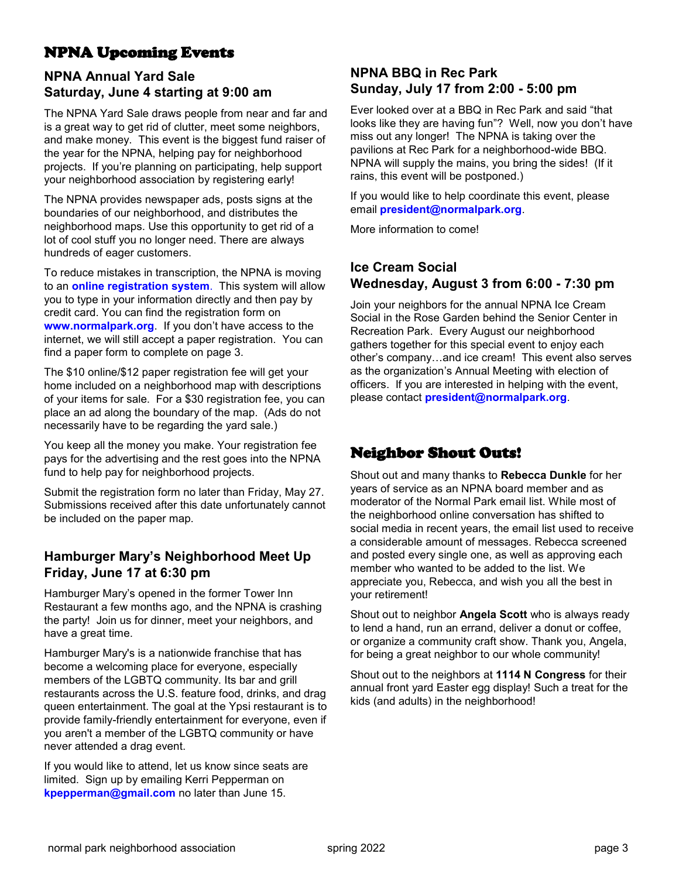## NPNA Upcoming Events

### **NPNA Annual Yard Sale Saturday, June 4 starting at 9:00 am**

The NPNA Yard Sale draws people from near and far and is a great way to get rid of clutter, meet some neighbors, and make money. This event is the biggest fund raiser of the year for the NPNA, helping pay for neighborhood projects. If you're planning on participating, help support your neighborhood association by registering early!

The NPNA provides newspaper ads, posts signs at the boundaries of our neighborhood, and distributes the neighborhood maps. Use this opportunity to get rid of a lot of cool stuff you no longer need. There are always hundreds of eager customers.

To reduce mistakes in transcription, the NPNA is moving to an **[online registration system](https://www.signupgenius.com/go/4090B44A5A829A6FC1-2022)**. This system will allow you to type in your information directly and then pay by credit card. You can find the registration form on **[www.normalpark.org](http://www.normalpark.org)**. If you don't have access to the internet, we will still accept a paper registration. You can find a paper form to complete on page 3.

The \$10 online/\$12 paper registration fee will get your home included on a neighborhood map with descriptions of your items for sale. For a \$30 registration fee, you can place an ad along the boundary of the map. (Ads do not necessarily have to be regarding the yard sale.)

You keep all the money you make. Your registration fee pays for the advertising and the rest goes into the NPNA fund to help pay for neighborhood projects.

Submit the registration form no later than Friday, May 27. Submissions received after this date unfortunately cannot be included on the paper map.

#### **Hamburger Mary's Neighborhood Meet Up Friday, June 17 at 6:30 pm**

Hamburger Mary's opened in the former Tower Inn Restaurant a few months ago, and the NPNA is crashing the party! Join us for dinner, meet your neighbors, and have a great time.

Hamburger Mary's is a nationwide franchise that has become a welcoming place for everyone, especially members of the LGBTQ community. Its bar and grill restaurants across the U.S. feature food, drinks, and drag queen entertainment. The goal at the Ypsi restaurant is to provide family-friendly entertainment for everyone, even if you aren't a member of the LGBTQ community or have never attended a drag event.

If you would like to attend, let us know since seats are limited. Sign up by emailing Kerri Pepperman on **kpepperman@gmail.com** no later than June 15.

#### **NPNA BBQ in Rec Park Sunday, July 17 from 2:00 - 5:00 pm**

Ever looked over at a BBQ in Rec Park and said "that looks like they are having fun"? Well, now you don't have miss out any longer! The NPNA is taking over the pavilions at Rec Park for a neighborhood-wide BBQ. NPNA will supply the mains, you bring the sides! (If it rains, this event will be postponed.)

If you would like to help coordinate this event, please email **president@normalpark.org**.

More information to come!

#### **Ice Cream Social Wednesday, August 3 from 6:00 - 7:30 pm**

Join your neighbors for the annual NPNA Ice Cream Social in the Rose Garden behind the Senior Center in Recreation Park. Every August our neighborhood gathers together for this special event to enjoy each other's company…and ice cream! This event also serves as the organization's Annual Meeting with election of officers. If you are interested in helping with the event, please contact **president@normalpark.org**.

## Neighbor Shout Outs!

Shout out and many thanks to **Rebecca Dunkle** for her years of service as an NPNA board member and as moderator of the Normal Park email list. While most of the neighborhood online conversation has shifted to social media in recent years, the email list used to receive a considerable amount of messages. Rebecca screened and posted every single one, as well as approving each member who wanted to be added to the list. We appreciate you, Rebecca, and wish you all the best in your retirement!

Shout out to neighbor **Angela Scott** who is always ready to lend a hand, run an errand, deliver a donut or coffee, or organize a community craft show. Thank you, Angela, for being a great neighbor to our whole community!

Shout out to the neighbors at **1114 N Congress** for their annual front yard Easter egg display! Such a treat for the kids (and adults) in the neighborhood!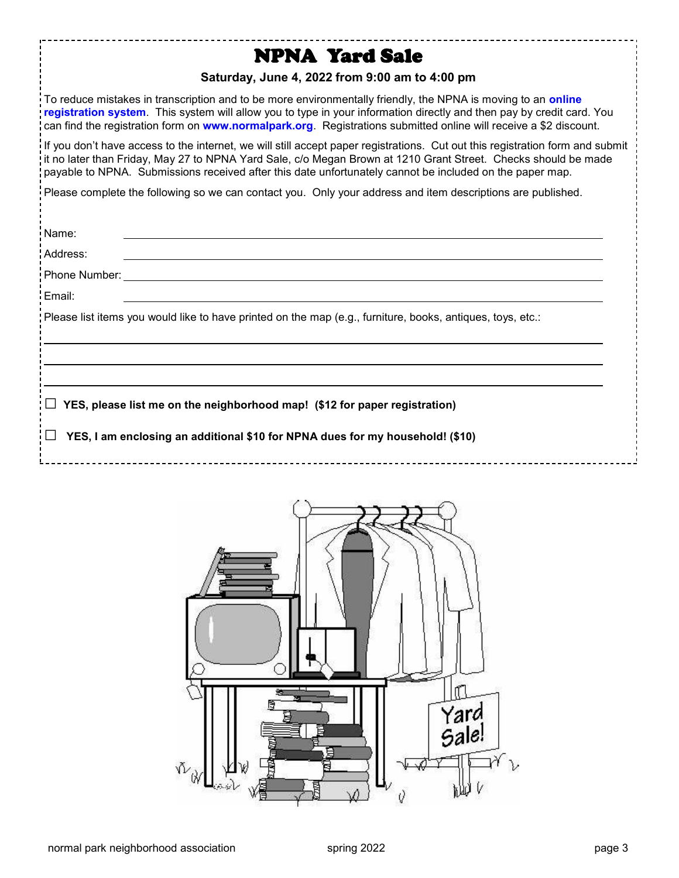## NPNA Yard Sale

#### **Saturday, June 4, 2022 from 9:00 am to 4:00 pm**

To reduce mistakes in transcription and to be more environmentally friendly, the NPNA is moving to an **[online](https://www.signupgenius.com/go/4090b44a5a829a6fc1-2022)  [registration system](https://www.signupgenius.com/go/4090b44a5a829a6fc1-2022)**. This system will allow you to type in your information directly and then pay by credit card. You can find the registration form on **[www.normalpark.org](https://normalpark.org/2022/05/06/2022-yard-sale-june-4/)**. Registrations submitted online will receive a \$2 discount.

If you don't have access to the internet, we will still accept paper registrations. Cut out this registration form and submit it no later than Friday, May 27 to NPNA Yard Sale, c/o Megan Brown at 1210 Grant Street. Checks should be made payable to NPNA. Submissions received after this date unfortunately cannot be included on the paper map.

Please complete the following so we can contact you. Only your address and item descriptions are published.

| Name:                                                                                                                                                                 |
|-----------------------------------------------------------------------------------------------------------------------------------------------------------------------|
| Address:                                                                                                                                                              |
| Phone Number:                                                                                                                                                         |
| Email:                                                                                                                                                                |
| Please list items you would like to have printed on the map (e.g., furniture, books, antiques, toys, etc.:                                                            |
| YES, please list me on the neighborhood map! (\$12 for paper registration)<br>$\Box$<br>YES, I am enclosing an additional \$10 for NPNA dues for my household! (\$10) |